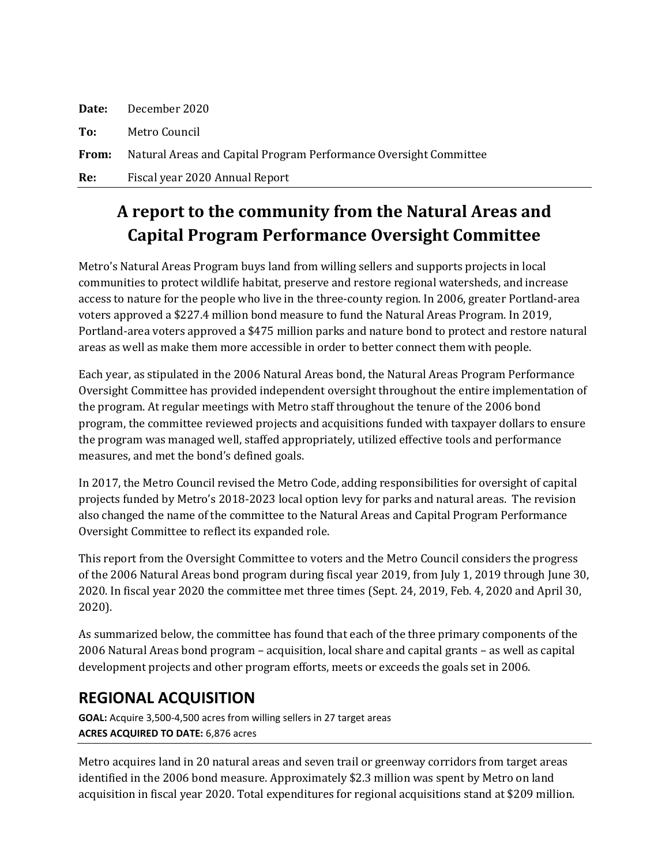| Re:   | Fiscal year 2020 Annual Report                                    |
|-------|-------------------------------------------------------------------|
| From: | Natural Areas and Capital Program Performance Oversight Committee |
| To:   | Metro Council                                                     |
| Date: | December 2020                                                     |

# **A report to the community from the Natural Areas and Capital Program Performance Oversight Committee**

Metro's Natural Areas Program buys land from willing sellers and supports projects in local communities to protect wildlife habitat, preserve and restore regional watersheds, and increase access to nature for the people who live in the three-county region. In 2006, greater Portland-area voters approved a \$227.4 million bond measure to fund the Natural Areas Program. In 2019, Portland-area voters approved a \$475 million parks and nature bond to protect and restore natural areas as well as make them more accessible in order to better connect them with people.

Each year, as stipulated in the 2006 Natural Areas bond, the Natural Areas Program Performance Oversight Committee has provided independent oversight throughout the entire implementation of the program. At regular meetings with Metro staff throughout the tenure of the 2006 bond program, the committee reviewed projects and acquisitions funded with taxpayer dollars to ensure the program was managed well, staffed appropriately, utilized effective tools and performance measures, and met the bond's defined goals.

In 2017, the Metro Council revised the Metro Code, adding responsibilities for oversight of capital projects funded by Metro's 2018-2023 local option levy for parks and natural areas. The revision also changed the name of the committee to the Natural Areas and Capital Program Performance Oversight Committee to reflect its expanded role.

This report from the Oversight Committee to voters and the Metro Council considers the progress of the 2006 Natural Areas bond program during fiscal year 2019, from July 1, 2019 through June 30, 2020. In fiscal year 2020 the committee met three times (Sept. 24, 2019, Feb. 4, 2020 and April 30, 2020).

As summarized below, the committee has found that each of the three primary components of the 2006 Natural Areas bond program – acquisition, local share and capital grants – as well as capital development projects and other program efforts, meets or exceeds the goals set in 2006.

### **REGIONAL ACQUISITION**

**GOAL:** Acquire 3,500-4,500 acres from willing sellers in 27 target areas **ACRES ACQUIRED TO DATE:** 6,876 acres

Metro acquires land in 20 natural areas and seven trail or greenway corridors from target areas identified in the 2006 bond measure. Approximately \$2.3 million was spent by Metro on land acquisition in fiscal year 2020. Total expenditures for regional acquisitions stand at \$209 million.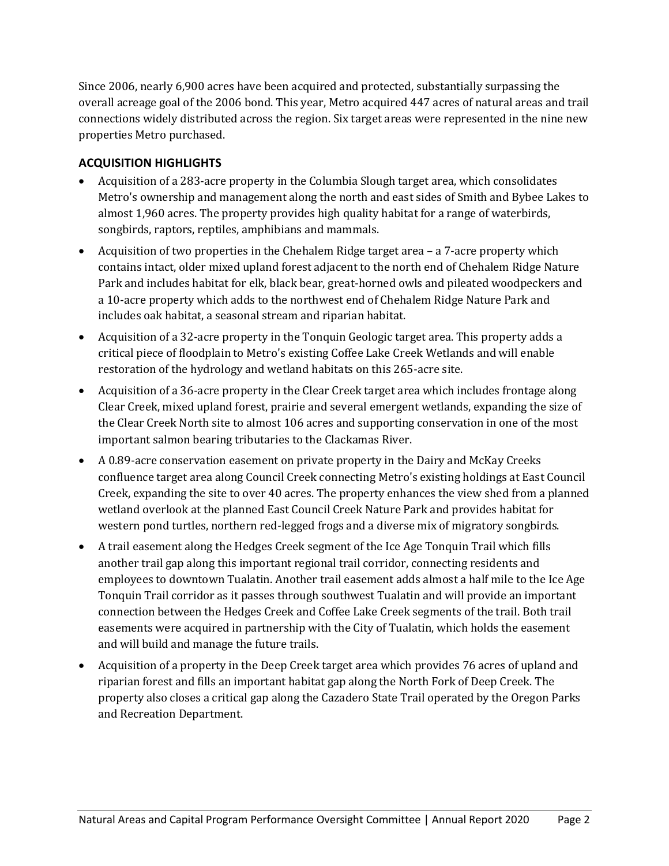Since 2006, nearly 6,900 acres have been acquired and protected, substantially surpassing the overall acreage goal of the 2006 bond. This year, Metro acquired 447 acres of natural areas and trail connections widely distributed across the region. Six target areas were represented in the nine new properties Metro purchased.

#### **ACQUISITION HIGHLIGHTS**

- Acquisition of a 283-acre property in the Columbia Slough target area, which consolidates Metro's ownership and management along the north and east sides of Smith and Bybee Lakes to almost 1,960 acres. The property provides high quality habitat for a range of waterbirds, songbirds, raptors, reptiles, amphibians and mammals.
- Acquisition of two properties in the Chehalem Ridge target area a 7-acre property which contains intact, older mixed upland forest adjacent to the north end of Chehalem Ridge Nature Park and includes habitat for elk, black bear, great-horned owls and pileated woodpeckers and a 10-acre property which adds to the northwest end of Chehalem Ridge Nature Park and includes oak habitat, a seasonal stream and riparian habitat.
- Acquisition of a 32-acre property in the Tonquin Geologic target area. This property adds a critical piece of floodplain to Metro's existing Coffee Lake Creek Wetlands and will enable restoration of the hydrology and wetland habitats on this 265-acre site.
- Acquisition of a 36-acre property in the Clear Creek target area which includes frontage along Clear Creek, mixed upland forest, prairie and several emergent wetlands, expanding the size of the Clear Creek North site to almost 106 acres and supporting conservation in one of the most important salmon bearing tributaries to the Clackamas River.
- A 0.89-acre conservation easement on private property in the Dairy and McKay Creeks confluence target area along Council Creek connecting Metro's existing holdings at East Council Creek, expanding the site to over 40 acres. The property enhances the view shed from a planned wetland overlook at the planned East Council Creek Nature Park and provides habitat for western pond turtles, northern red-legged frogs and a diverse mix of migratory songbirds.
- A trail easement along the Hedges Creek segment of the Ice Age Tonquin Trail which fills another trail gap along this important regional trail corridor, connecting residents and employees to downtown Tualatin. Another trail easement adds almost a half mile to the Ice Age Tonquin Trail corridor as it passes through southwest Tualatin and will provide an important connection between the Hedges Creek and Coffee Lake Creek segments of the trail. Both trail easements were acquired in partnership with the City of Tualatin, which holds the easement and will build and manage the future trails.
- Acquisition of a property in the Deep Creek target area which provides 76 acres of upland and riparian forest and fills an important habitat gap along the North Fork of Deep Creek. The property also closes a critical gap along the Cazadero State Trail operated by the Oregon Parks and Recreation Department.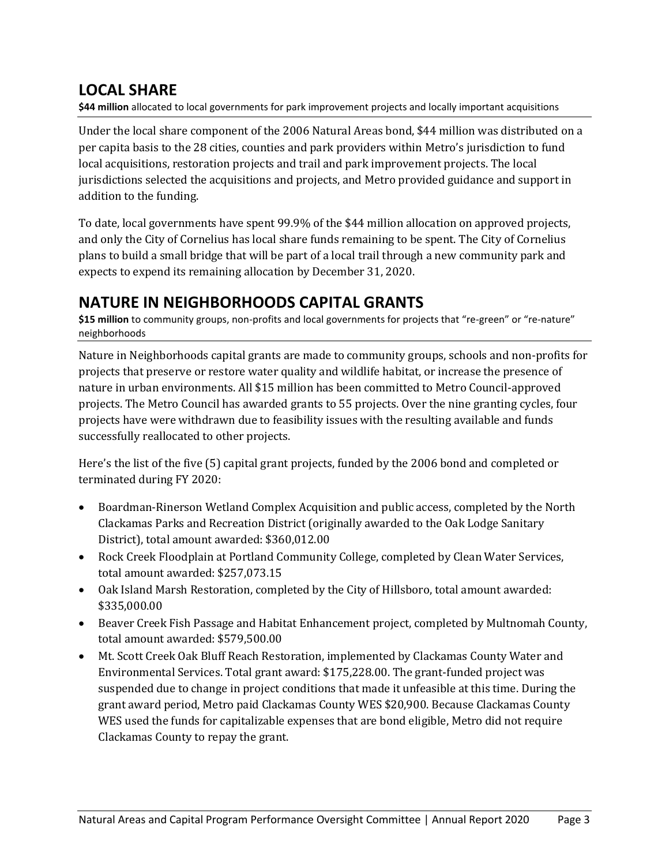### **LOCAL SHARE**

**\$44 million** allocated to local governments for park improvement projects and locally important acquisitions

Under the local share component of the 2006 Natural Areas bond, \$44 million was distributed on a per capita basis to the 28 cities, counties and park providers within Metro's jurisdiction to fund local acquisitions, restoration projects and trail and park improvement projects. The local jurisdictions selected the acquisitions and projects, and Metro provided guidance and support in addition to the funding.

To date, local governments have spent 99.9% of the \$44 million allocation on approved projects, and only the City of Cornelius has local share funds remaining to be spent. The City of Cornelius plans to build a small bridge that will be part of a local trail through a new community park and expects to expend its remaining allocation by December 31, 2020.

### **NATURE IN NEIGHBORHOODS CAPITAL GRANTS**

\$15 million to community groups, non-profits and local governments for projects that "re-green" or "re-nature" neighborhoods

Nature in Neighborhoods capital grants are made to community groups, schools and non-profits for projects that preserve or restore water quality and wildlife habitat, or increase the presence of nature in urban environments. All \$15 million has been committed to Metro Council-approved projects. The Metro Council has awarded grants to 55 projects. Over the nine granting cycles, four projects have were withdrawn due to feasibility issues with the resulting available and funds successfully reallocated to other projects.

Here's the list of the five (5) capital grant projects, funded by the 2006 bond and completed or terminated during FY 2020:

- Boardman-Rinerson Wetland Complex Acquisition and public access, completed by the North Clackamas Parks and Recreation District (originally awarded to the Oak Lodge Sanitary District), total amount awarded: \$360,012.00
- Rock Creek Floodplain at Portland Community College, completed by Clean Water Services, total amount awarded: \$257,073.15
- Oak Island Marsh Restoration, completed by the City of Hillsboro, total amount awarded: \$335,000.00
- Beaver Creek Fish Passage and Habitat Enhancement project, completed by Multnomah County, total amount awarded: \$579,500.00
- Mt. Scott Creek Oak Bluff Reach Restoration, implemented by Clackamas County Water and Environmental Services. Total grant award: \$175,228.00. The grant-funded project was suspended due to change in project conditions that made it unfeasible at this time. During the grant award period, Metro paid Clackamas County WES \$20,900. Because Clackamas County WES used the funds for capitalizable expenses that are bond eligible, Metro did not require Clackamas County to repay the grant.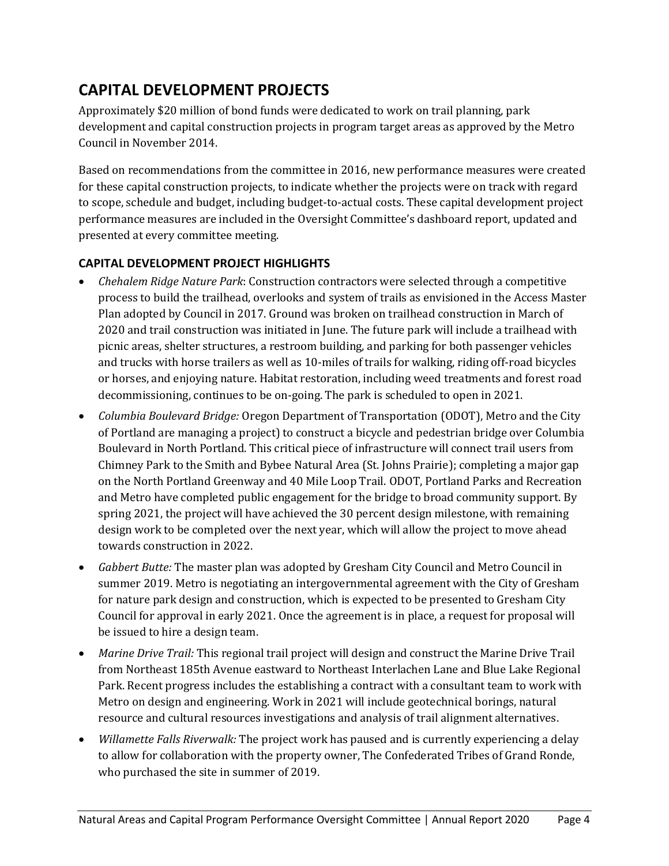## **CAPITAL DEVELOPMENT PROJECTS**

Approximately \$20 million of bond funds were dedicated to work on trail planning, park development and capital construction projects in program target areas as approved by the Metro Council in November 2014.

Based on recommendations from the committee in 2016, new performance measures were created for these capital construction projects, to indicate whether the projects were on track with regard to scope, schedule and budget, including budget-to-actual costs. These capital development project performance measures are included in the Oversight Committee's dashboard report, updated and presented at every committee meeting.

#### **CAPITAL DEVELOPMENT PROJECT HIGHLIGHTS**

- *Chehalem Ridge Nature Park*: Construction contractors were selected through a competitive process to build the trailhead, overlooks and system of trails as envisioned in the Access Master Plan adopted by Council in 2017. Ground was broken on trailhead construction in March of 2020 and trail construction was initiated in June. The future park will include a trailhead with picnic areas, shelter structures, a restroom building, and parking for both passenger vehicles and trucks with horse trailers as well as 10-miles of trails for walking, riding off-road bicycles or horses, and enjoying nature. Habitat restoration, including weed treatments and forest road decommissioning, continues to be on-going. The park is scheduled to open in 2021.
- *Columbia Boulevard Bridge:* Oregon Department of Transportation (ODOT), Metro and the City of Portland are managing a project) to construct a bicycle and pedestrian bridge over Columbia Boulevard in North Portland. This critical piece of infrastructure will connect trail users from Chimney Park to the Smith and Bybee Natural Area (St. Johns Prairie); completing a major gap on the North Portland Greenway and 40 Mile Loop Trail. ODOT, Portland Parks and Recreation and Metro have completed public engagement for the bridge to broad community support. By spring 2021, the project will have achieved the 30 percent design milestone, with remaining design work to be completed over the next year, which will allow the project to move ahead towards construction in 2022.
- *Gabbert Butte:* The master plan was adopted by Gresham City Council and Metro Council in summer 2019. Metro is negotiating an intergovernmental agreement with the City of Gresham for nature park design and construction, which is expected to be presented to Gresham City Council for approval in early 2021. Once the agreement is in place, a request for proposal will be issued to hire a design team.
- *Marine Drive Trail:* This regional trail project will design and construct the Marine Drive Trail from Northeast 185th Avenue eastward to Northeast Interlachen Lane and Blue Lake Regional Park. Recent progress includes the establishing a contract with a consultant team to work with Metro on design and engineering. Work in 2021 will include geotechnical borings, natural resource and cultural resources investigations and analysis of trail alignment alternatives.
- *Willamette Falls Riverwalk:* The project work has paused and is currently experiencing a delay to allow for collaboration with the property owner, The Confederated Tribes of Grand Ronde, who purchased the site in summer of 2019.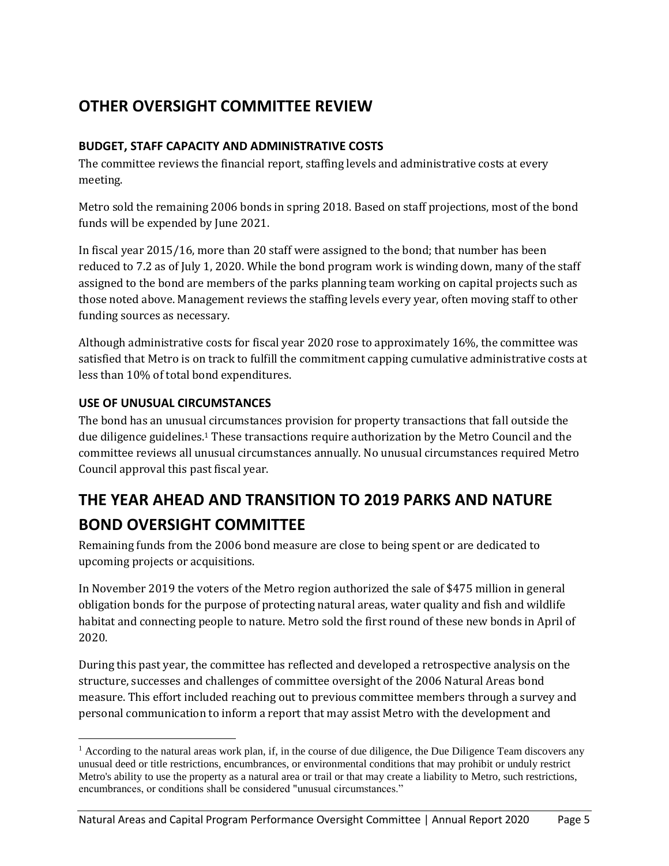## **OTHER OVERSIGHT COMMITTEE REVIEW**

#### **BUDGET, STAFF CAPACITY AND ADMINISTRATIVE COSTS**

The committee reviews the financial report, staffing levels and administrative costs at every meeting.

Metro sold the remaining 2006 bonds in spring 2018. Based on staff projections, most of the bond funds will be expended by June 2021.

In fiscal year 2015/16, more than 20 staff were assigned to the bond; that number has been reduced to 7.2 as of July 1, 2020. While the bond program work is winding down, many of the staff assigned to the bond are members of the parks planning team working on capital projects such as those noted above. Management reviews the staffing levels every year, often moving staff to other funding sources as necessary.

Although administrative costs for fiscal year 2020 rose to approximately 16%, the committee was satisfied that Metro is on track to fulfill the commitment capping cumulative administrative costs at less than 10% of total bond expenditures.

#### **USE OF UNUSUAL CIRCUMSTANCES**

 $\overline{a}$ 

The bond has an unusual circumstances provision for property transactions that fall outside the due diligence guidelines.<sup>1</sup> These transactions require authorization by the Metro Council and the committee reviews all unusual circumstances annually. No unusual circumstances required Metro Council approval this past fiscal year.

## **THE YEAR AHEAD AND TRANSITION TO 2019 PARKS AND NATURE BOND OVERSIGHT COMMITTEE**

Remaining funds from the 2006 bond measure are close to being spent or are dedicated to upcoming projects or acquisitions.

In November 2019 the voters of the Metro region authorized the sale of \$475 million in general obligation bonds for the purpose of protecting natural areas, water quality and fish and wildlife habitat and connecting people to nature. Metro sold the first round of these new bonds in April of 2020.

During this past year, the committee has reflected and developed a retrospective analysis on the structure, successes and challenges of committee oversight of the 2006 Natural Areas bond measure. This effort included reaching out to previous committee members through a survey and personal communication to inform a report that may assist Metro with the development and

 $<sup>1</sup>$  According to the natural areas work plan, if, in the course of due diligence, the Due Diligence Team discovers any</sup> unusual deed or title restrictions, encumbrances, or environmental conditions that may prohibit or unduly restrict Metro's ability to use the property as a natural area or trail or that may create a liability to Metro, such restrictions, encumbrances, or conditions shall be considered "unusual circumstances."